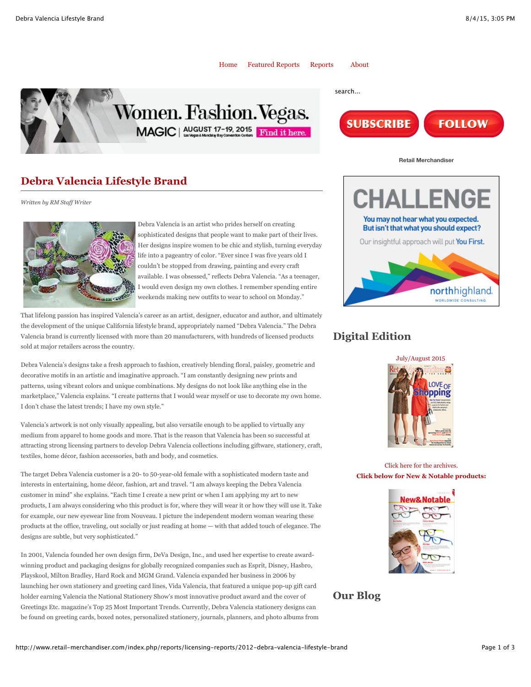

**SUBSCRIBE** 



# **Debra Valencia Lifestyle Brand**

*Written by RM Staff Writer*



Debra Valencia is an artist who prides herself on creating sophisticated designs that people want to make part of their lives. Her designs inspire women to be chic and stylish, turning everyday life into a pageantry of color. "Ever since I was five years old I couldn't be stopped from drawing, painting and every craft available. I was obsessed," reflects Debra Valencia. "As a teenager, I would even design my own clothes. I remember spending entire weekends making new outfits to wear to school on Monday."

That lifelong passion has inspired Valencia's career as an artist, designer, educator and author, and ultimately the development of the unique California lifestyle brand, appropriately named "Debra Valencia." The Debra Valencia brand is currently licensed with more than 20 manufacturers, with hundreds of licensed products sold at major retailers across the country.

Debra Valencia's designs take a fresh approach to fashion, creatively blending floral, paisley, geometric and decorative motifs in an artistic and imaginative approach. "I am constantly designing new prints and patterns, using vibrant colors and unique combinations. My designs do not look like anything else in the marketplace," Valencia explains. "I create patterns that I would wear myself or use to decorate my own home. I don't chase the latest trends; I have my own style."

Valencia's artwork is not only visually appealing, but also versatile enough to be applied to virtually any medium from apparel to home goods and more. That is the reason that Valencia has been so successful at attracting strong licensing partners to develop Debra Valencia collections including giftware, stationery, craft, textiles, home décor, fashion accessories, bath and body, and cosmetics.

The target Debra Valencia customer is a 20- to 50-year-old female with a sophisticated modern taste and interests in entertaining, home décor, fashion, art and travel. "I am always keeping the Debra Valencia customer in mind" she explains. "Each time I create a new print or when I am applying my art to new products, I am always considering who this product is for, where they will wear it or how they will use it. Take for example, our new eyewear line from Nouveau. I picture the independent modern woman wearing these products at the office, traveling, out socially or just reading at home — with that added touch of elegance. The designs are subtle, but very sophisticated."

In 2001, Valencia founded her own design firm, DeVa Design, Inc., and used her expertise to create awardwinning product and packaging designs for globally recognized companies such as Esprit, Disney, Hasbro, Playskool, Milton Bradley, Hard Rock and MGM Grand. Valencia expanded her business in 2006 by launching her own stationery and greeting card lines, Vida Valencia, that featured a unique pop-up gift card holder earning Valencia the National Stationery Show's most innovative product award and the cover of Greetings Etc. magazine's Top 25 Most Important Trends. Currently, Debra Valencia stationery designs can be found on greeting cards, boxed notes, personalized stationery, journals, planners, and photo albums from



**Retail Merchandiser**

**FOLLOW** 

# **Digital Edition**



Click here for the archives. **Click below for New & Notable products:**



# **Our Blog**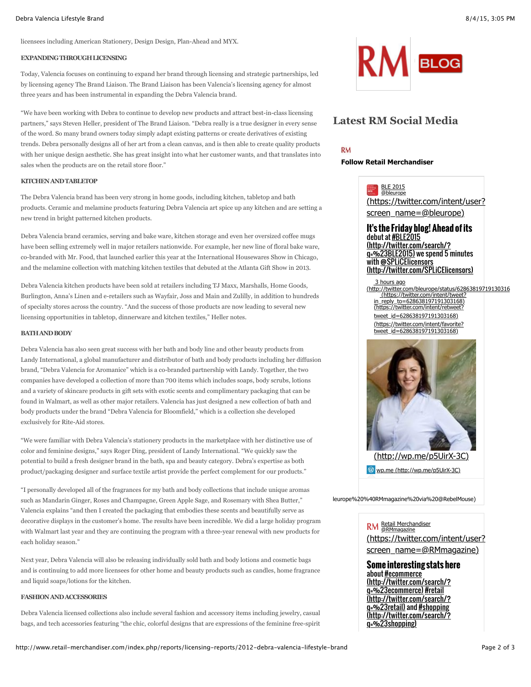#### Debra Valencia Lifestyle Brand 8/4/15, 3:05 PM

licensees including American Stationery, Design Design, Plan-Ahead and MYX.

### **EXPANDING THROUGH LICENSING**

Today, Valencia focuses on continuing to expand her brand through licensing and strategic partnerships, led by licensing agency The Brand Liaison. The Brand Liaison has been Valencia's licensing agency for almost three years and has been instrumental in expanding the Debra Valencia brand.

"We have been working with Debra to continue to develop new products and attract best-in-class licensing partners," says Steven Heller, president of The Brand Liaison. "Debra really is a true designer in every sense of the word. So many brand owners today simply adapt existing patterns or create derivatives of existing trends. Debra personally designs all of her art from a clean canvas, and is then able to create quality products with her unique design aesthetic. She has great insight into what her customer wants, and that translates into sales when the products are on the retail store floor."

### **KITCHEN AND TABLETOP**

The Debra Valencia brand has been very strong in home goods, including kitchen, tabletop and bath products. Ceramic and melamine products featuring Debra Valencia art spice up any kitchen and are setting a new trend in bright patterned kitchen products.

Debra Valencia brand ceramics, serving and bake ware, kitchen storage and even her oversized coffee mugs have been selling extremely well in major retailers nationwide. For example, her new line of floral bake ware, co-branded with Mr. Food, that launched earlier this year at the International Housewares Show in Chicago, and the melamine collection with matching kitchen textiles that debuted at the Atlanta Gift Show in 2013.

Debra Valencia kitchen products have been sold at retailers including TJ Maxx, Marshalls, Home Goods, Burlington, Anna's Linen and e-retailers such as Wayfair, Joss and Main and Zulilly, in addition to hundreds of specialty stores across the country. "And the success of those products are now leading to several new licensing opportunities in tabletop, dinnerware and kitchen textiles," Heller notes.

### **BATH AND BODY**

Debra Valencia has also seen great success with her bath and body line and other beauty products from Landy International, a global manufacturer and distributor of bath and body products including her diffusion brand, "Debra Valencia for Aromanice" which is a co-branded partnership with Landy. Together, the two companies have developed a collection of more than 700 items which includes soaps, body scrubs, lotions and a variety of skincare products in gift sets with exotic scents and complimentary packaging that can be found in Walmart, as well as other major retailers. Valencia has just designed a new collection of bath and body products under the brand "Debra Valencia for Bloomfield," which is a collection she developed exclusively for Rite-Aid stores.

"We were familiar with Debra Valencia's stationery products in the marketplace with her distinctive use of color and feminine designs," says Roger Ding, president of Landy International. "We quickly saw the potential to build a fresh designer brand in the bath, spa and beauty category. Debra's expertise as both product/packaging designer and surface textile artist provide the perfect complement for our products."

"I personally developed all of the fragrances for my bath and body collections that include unique aromas such as Mandarin Ginger, Roses and Champagne, Green Apple Sage, and Rosemary with Shea Butter," Valencia explains "and then I created the packaging that embodies these scents and beautifully serve as decorative displays in the customer's home. The results have been incredible. We did a large holiday program with Walmart last year and they are continuing the program with a three-year renewal with new products for each holiday season."

Next year, Debra Valencia will also be releasing individually sold bath and body lotions and cosmetic bags and is continuing to add more licensees for other home and beauty products such as candles, home fragrance and liquid soaps/lotions for the kitchen.

## **FASHION AND ACCESSORIES**

Debra Valencia licensed collections also include several fashion and accessory items including jewelry, casual bags, and tech accessories featuring "the chic, colorful designs that are expressions of the feminine free-spirit



# **Latest RM Social Media**

**RM** 

## **Follow Retail Merchandiser**



(https://twitter.com/intent/user? screen\_name=@bleurope)

### **It's the Friday blog! Ahead of its** debut at #BLE2015 (http://twitter.com/search/? g=%23BLE2015) we spend 5 minutes with **@SPLiCElicensors**

3 hours ago (http://twitter.com/SPLiCElicensors)

(http://twitter.com/bleurope/status/62863819719130316 (https://twitter.com/intent/tweet?

in\_reply\_to=628638197191303168) (https://twitter.com/intent/retweet?

tweet\_id=628638197191303168) (https://twitter.com/intent/favorite? tweet\_id=628638197191303168)



leurope%20%40RMmagazine%20via%20@RebelMouse)

## Retail Merchandiser @RMmagazine

(https://twitter.com/intent/user? screen\_name=@RMmagazine)

### **Some interesting stats here** about **#ecommerce**

(http://twitter.com/search/? q=%23ecommerce) #retail (http://twitter.com/search/? q=%23retail) and #shopping (http://twitter.com/search/? q=%23shopping)